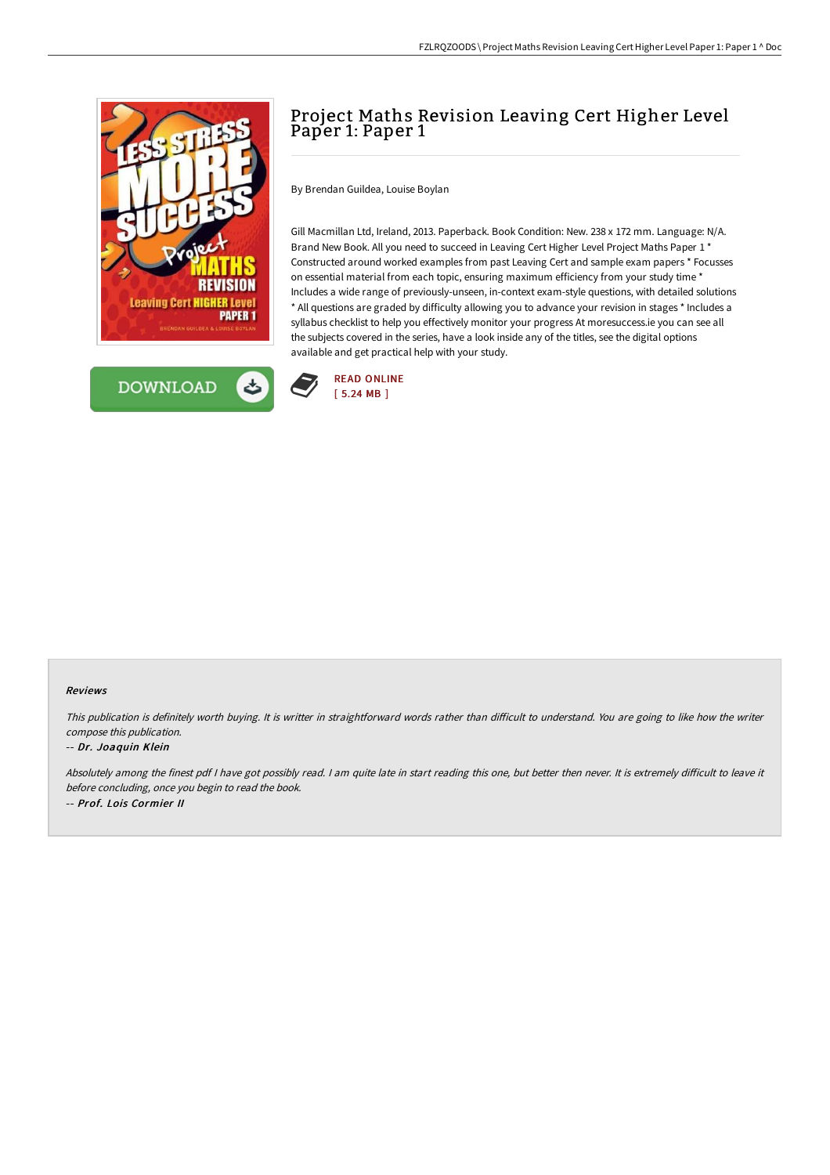



# Project Maths Revision Leaving Cert Higher Level Paper 1: Paper 1

By Brendan Guildea, Louise Boylan

Gill Macmillan Ltd, Ireland, 2013. Paperback. Book Condition: New. 238 x 172 mm. Language: N/A. Brand New Book. All you need to succeed in Leaving Cert Higher Level Project Maths Paper 1 \* Constructed around worked examples from past Leaving Cert and sample exam papers \* Focusses on essential material from each topic, ensuring maximum efficiency from your study time \* Includes a wide range of previously-unseen, in-context exam-style questions, with detailed solutions \* All questions are graded by difficulty allowing you to advance your revision in stages \* Includes a syllabus checklist to help you effectively monitor your progress At moresuccess.ie you can see all the subjects covered in the series, have a look inside any of the titles, see the digital options available and get practical help with your study.



#### Reviews

This publication is definitely worth buying. It is writter in straightforward words rather than difficult to understand. You are going to like how the writer compose this publication.

#### -- Dr. Joaquin Klein

Absolutely among the finest pdf I have got possibly read. I am quite late in start reading this one, but better then never. It is extremely difficult to leave it before concluding, once you begin to read the book. -- Prof. Lois Cormier II